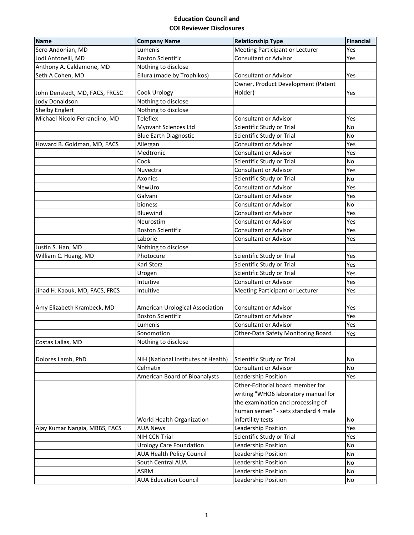## **Education Council and COI Reviewer Disclosures**

| <b>Name</b>                    | <b>Company Name</b>                 | <b>Relationship Type</b>            | <b>Financial</b> |
|--------------------------------|-------------------------------------|-------------------------------------|------------------|
| Sero Andonian, MD              | Lumenis                             | Meeting Participant or Lecturer     | Yes              |
| Jodi Antonelli, MD             | <b>Boston Scientific</b>            | <b>Consultant or Advisor</b>        | Yes              |
| Anthony A. Caldamone, MD       | Nothing to disclose                 |                                     |                  |
| Seth A Cohen, MD               | Ellura (made by Trophikos)          | <b>Consultant or Advisor</b>        | Yes              |
|                                |                                     | Owner, Product Development (Patent  |                  |
| John Denstedt, MD, FACS, FRCSC | Cook Urology                        | Holder)                             | Yes              |
| Jody Donaldson                 | Nothing to disclose                 |                                     |                  |
| <b>Shelby Englert</b>          | Nothing to disclose                 |                                     |                  |
| Michael Nicolo Ferrandino, MD  | Teleflex                            | <b>Consultant or Advisor</b>        | Yes              |
|                                | Myovant Sciences Ltd                | Scientific Study or Trial           | No               |
|                                | <b>Blue Earth Diagnostic</b>        | Scientific Study or Trial           | No               |
| Howard B. Goldman, MD, FACS    | Allergan                            | <b>Consultant or Advisor</b>        | Yes              |
|                                | Medtronic                           | <b>Consultant or Advisor</b>        | Yes              |
|                                | Cook                                | Scientific Study or Trial           | No               |
|                                | Nuvectra                            | <b>Consultant or Advisor</b>        | Yes              |
|                                | Axonics                             | Scientific Study or Trial           | No               |
|                                | NewUro                              | <b>Consultant or Advisor</b>        | Yes              |
|                                | Galvani                             | <b>Consultant or Advisor</b>        | Yes              |
|                                | bioness                             | <b>Consultant or Advisor</b>        | No               |
|                                | <b>Bluewind</b>                     | <b>Consultant or Advisor</b>        | Yes              |
|                                | Neurostim                           | <b>Consultant or Advisor</b>        | Yes              |
|                                | <b>Boston Scientific</b>            | <b>Consultant or Advisor</b>        | Yes              |
|                                | Laborie                             | <b>Consultant or Advisor</b>        | Yes              |
| Justin S. Han, MD              | Nothing to disclose                 |                                     |                  |
| William C. Huang, MD           | Photocure                           | Scientific Study or Trial           | Yes              |
|                                | Karl Storz                          | Scientific Study or Trial           | Yes              |
|                                | Urogen                              | Scientific Study or Trial           | Yes              |
|                                | Intuitive                           | <b>Consultant or Advisor</b>        | Yes              |
| Jihad H. Kaouk, MD, FACS, FRCS | Intuitive                           | Meeting Participant or Lecturer     | Yes              |
|                                |                                     |                                     |                  |
| Amy Elizabeth Krambeck, MD     | American Urological Association     | <b>Consultant or Advisor</b>        | Yes              |
|                                | <b>Boston Scientific</b>            | <b>Consultant or Advisor</b>        | Yes              |
|                                | Lumenis                             | <b>Consultant or Advisor</b>        | Yes              |
|                                | Sonomotion                          | Other-Data Safety Monitoring Board  | Yes              |
| Costas Lallas, MD              | Nothing to disclose                 |                                     |                  |
|                                |                                     |                                     |                  |
| Dolores Lamb, PhD              | NIH (National Institutes of Health) | Scientific Study or Trial           | No               |
|                                | Celmatix                            | <b>Consultant or Advisor</b>        | <b>No</b>        |
|                                | American Board of Bioanalysts       | Leadership Position                 | Yes              |
|                                |                                     | Other-Editorial board member for    |                  |
|                                |                                     | writing "WHO6 laboratory manual for |                  |
|                                |                                     | the examination and processing of   |                  |
|                                |                                     | human semen" - sets standard 4 male |                  |
|                                | World Health Organization           | infertility tests                   | No               |
| Ajay Kumar Nangia, MBBS, FACS  | <b>AUA News</b>                     | Leadership Position                 | Yes              |
|                                | NIH CCN Trial                       | Scientific Study or Trial           | Yes              |
|                                | <b>Urology Care Foundation</b>      | Leadership Position                 | No               |
|                                | <b>AUA Health Policy Council</b>    | Leadership Position                 | No               |
|                                | South Central AUA                   | Leadership Position                 | No               |
|                                | ASRM                                | Leadership Position                 | No               |
|                                | <b>AUA Education Council</b>        | Leadership Position                 | No               |